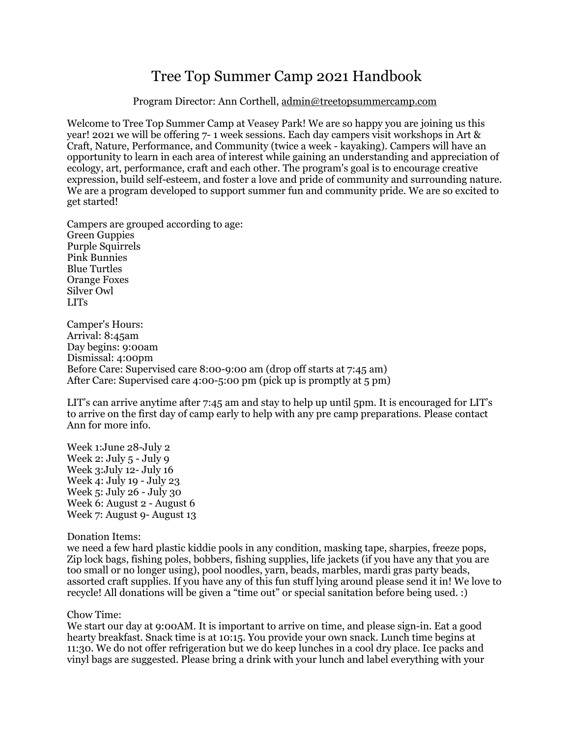# Tree Top Summer Camp 2021 Handbook

## Program Director: Ann Corthell, [admin@treetopsummercamp.com](mailto:admin@treetopsummercamp.com)

Welcome to Tree Top Summer Camp at Veasey Park! We are so happy you are joining us this year! 2021 we will be offering 7- 1 week sessions. Each day campers visit workshops in Art & Craft, Nature, Performance, and Community (twice a week - kayaking). Campers will have an opportunity to learn in each area of interest while gaining an understanding and appreciation of ecology, art, performance, craft and each other. The program's goal is to encourage creative expression, build self-esteem, and foster a love and pride of community and surrounding nature. We are a program developed to support summer fun and community pride. We are so excited to get started!

Campers are grouped according to age: Green Guppies Purple Squirrels Pink Bunnies Blue Turtles Orange Foxes Silver Owl LITs

Camper's Hours: Arrival: 8:45am Day begins: 9:00am Dismissal: 4:00pm Before Care: Supervised care 8:00-9:00 am (drop off starts at 7:45 am) After Care: Supervised care 4:00-5:00 pm (pick up is promptly at 5 pm)

LIT's can arrive anytime after 7:45 am and stay to help up until 5pm. It is encouraged for LIT's to arrive on the first day of camp early to help with any pre camp preparations. Please contact Ann for more info.

Week 1:June 28-July 2 Week 2: July 5 - July 9 Week 3:July 12- July 16 Week 4: July 19 - July 23 Week 5: July 26 - July 30 Week 6: August 2 - August 6 Week 7: August 9- August 13

Donation Items:

we need a few hard plastic kiddie pools in any condition, masking tape, sharpies, freeze pops, Zip lock bags, fishing poles, bobbers, fishing supplies, life jackets (if you have any that you are too small or no longer using), pool noodles, yarn, beads, marbles, mardi gras party beads, assorted craft supplies. If you have any of this fun stuff lying around please send it in! We love to recycle! All donations will be given a "time out" or special sanitation before being used. :)

Chow Time:

We start our day at 9:00 AM. It is important to arrive on time, and please sign-in. Eat a good hearty breakfast. Snack time is at 10:15. You provide your own snack. Lunch time begins at 11:30. We do not offer refrigeration but we do keep lunches in a cool dry place. Ice packs and vinyl bags are suggested. Please bring a drink with your lunch and label everything with your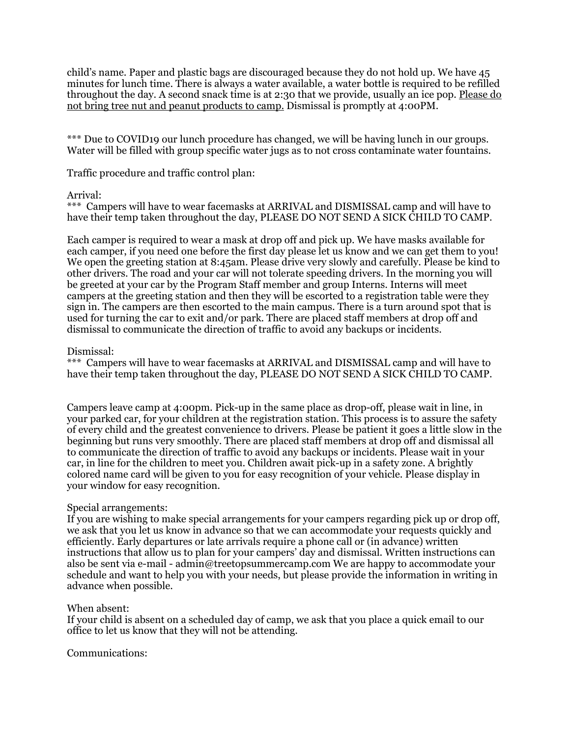child's name. Paper and plastic bags are discouraged because they do not hold up. We have 45 minutes for lunch time. There is always a water available, a water bottle is required to be refilled throughout the day. A second snack time is at 2:30 that we provide, usually an ice pop. Please do not bring tree nut and peanut products to camp. Dismissal is promptly at 4:00PM.

\*\*\* Due to COVID19 our lunch procedure has changed, we will be having lunch in our groups. Water will be filled with group specific water jugs as to not cross contaminate water fountains.

Traffic procedure and traffic control plan:

## Arrival:

\*\*\* Campers will have to wear facemasks at ARRIVAL and DISMISSAL camp and will have to have their temp taken throughout the day, PLEASE DO NOT SEND A SICK CHILD TO CAMP.

Each camper is required to wear a mask at drop off and pick up. We have masks available for each camper, if you need one before the first day please let us know and we can get them to you! We open the greeting station at 8:45am. Please drive very slowly and carefully. Please be kind to other drivers. The road and your car will not tolerate speeding drivers. In the morning you will be greeted at your car by the Program Staff member and group Interns. Interns will meet campers at the greeting station and then they will be escorted to a registration table were they sign in. The campers are then escorted to the main campus. There is a turn around spot that is used for turning the car to exit and/or park. There are placed staff members at drop off and dismissal to communicate the direction of traffic to avoid any backups or incidents.

## Dismissal:

\*\*\* Campers will have to wear facemasks at ARRIVAL and DISMISSAL camp and will have to have their temp taken throughout the day, PLEASE DO NOT SEND A SICK CHILD TO CAMP.

Campers leave camp at 4:00pm. Pick-up in the same place as drop-off, please wait in line, in your parked car, for your children at the registration station. This process is to assure the safety of every child and the greatest convenience to drivers. Please be patient it goes a little slow in the beginning but runs very smoothly. There are placed staff members at drop off and dismissal all to communicate the direction of traffic to avoid any backups or incidents. Please wait in your car, in line for the children to meet you. Children await pick-up in a safety zone. A brightly colored name card will be given to you for easy recognition of your vehicle. Please display in your window for easy recognition.

## Special arrangements:

If you are wishing to make special arrangements for your campers regarding pick up or drop off, we ask that you let us know in advance so that we can accommodate your requests quickly and efficiently. Early departures or late arrivals require a phone call or (in advance) written instructions that allow us to plan for your campers' day and dismissal. Written instructions can also be sent via e-mail - admin@treetopsummercamp.com We are happy to accommodate your schedule and want to help you with your needs, but please provide the information in writing in advance when possible.

## When absent:

If your child is absent on a scheduled day of camp, we ask that you place a quick email to our office to let us know that they will not be attending.

## Communications: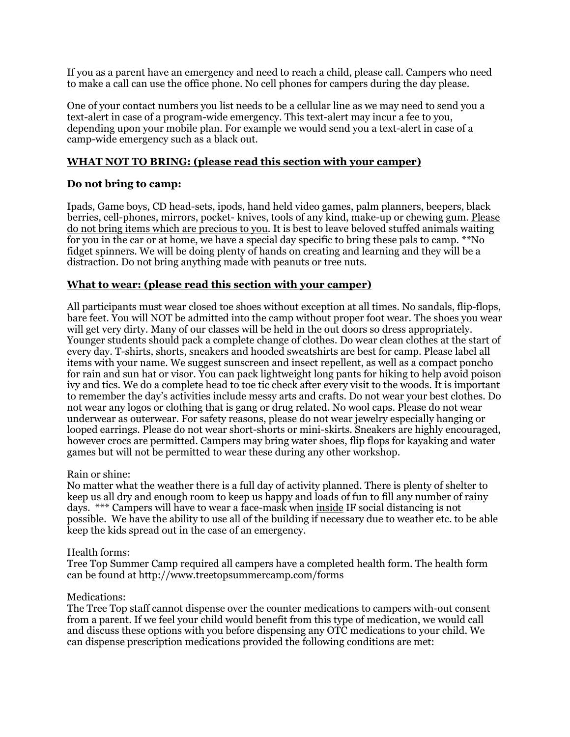If you as a parent have an emergency and need to reach a child, please call. Campers who need to make a call can use the office phone. No cell phones for campers during the day please.

One of your contact numbers you list needs to be a cellular line as we may need to send you a text-alert in case of a program-wide emergency. This text-alert may incur a fee to you, depending upon your mobile plan. For example we would send you a text-alert in case of a camp-wide emergency such as a black out.

# **WHAT NOT TO BRING: (please read this section with your camper)**

# **Do not bring to camp:**

Ipads, Game boys, CD head-sets, ipods, hand held video games, palm planners, beepers, black berries, cell-phones, mirrors, pocket- knives, tools of any kind, make-up or chewing gum. Please do not bring items which are precious to you. It is best to leave beloved stuffed animals waiting for you in the car or at home, we have a special day specific to bring these pals to camp. \*\*No fidget spinners. We will be doing plenty of hands on creating and learning and they will be a distraction. Do not bring anything made with peanuts or tree nuts.

## **What to wear: (please read this section with your camper)**

All participants must wear closed toe shoes without exception at all times. No sandals, flip-flops, bare feet. You will NOT be admitted into the camp without proper foot wear. The shoes you wear will get very dirty. Many of our classes will be held in the out doors so dress appropriately. Younger students should pack a complete change of clothes. Do wear clean clothes at the start of every day. T-shirts, shorts, sneakers and hooded sweatshirts are best for camp. Please label all items with your name. We suggest sunscreen and insect repellent, as well as a compact poncho for rain and sun hat or visor. You can pack lightweight long pants for hiking to help avoid poison ivy and tics. We do a complete head to toe tic check after every visit to the woods. It is important to remember the day's activities include messy arts and crafts. Do not wear your best clothes. Do not wear any logos or clothing that is gang or drug related. No wool caps. Please do not wear underwear as outerwear. For safety reasons, please do not wear jewelry especially hanging or looped earrings. Please do not wear short-shorts or mini-skirts. Sneakers are highly encouraged, however crocs are permitted. Campers may bring water shoes, flip flops for kayaking and water games but will not be permitted to wear these during any other workshop.

## Rain or shine:

No matter what the weather there is a full day of activity planned. There is plenty of shelter to keep us all dry and enough room to keep us happy and loads of fun to fill any number of rainy days. \*\*\* Campers will have to wear a face-mask when inside IF social distancing is not possible. We have the ability to use all of the building if necessary due to weather etc. to be able keep the kids spread out in the case of an emergency.

## Health forms:

Tree Top Summer Camp required all campers have a completed health form. The health form can be found at http://www.treetopsummercamp.com/forms

## Medications:

The Tree Top staff cannot dispense over the counter medications to campers with-out consent from a parent. If we feel your child would benefit from this type of medication, we would call and discuss these options with you before dispensing any OTC medications to your child. We can dispense prescription medications provided the following conditions are met: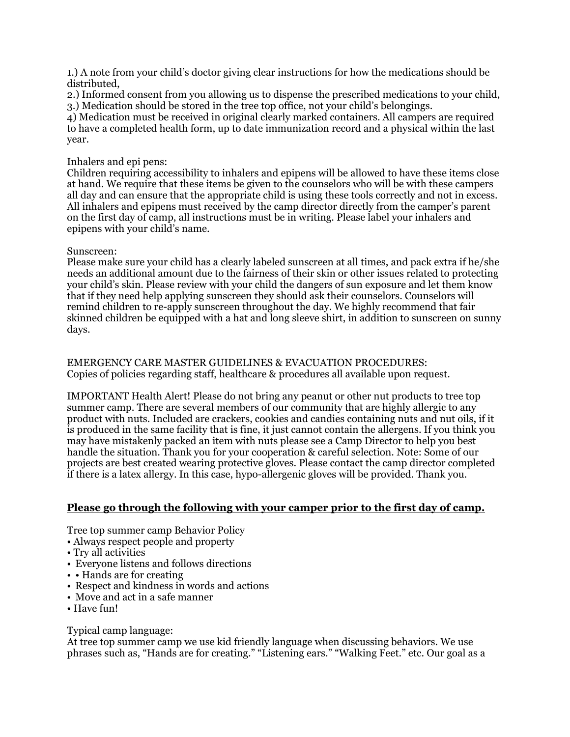1.) A note from your child's doctor giving clear instructions for how the medications should be distributed,

2.) Informed consent from you allowing us to dispense the prescribed medications to your child, 3.) Medication should be stored in the tree top office, not your child's belongings.

4) Medication must be received in original clearly marked containers. All campers are required to have a completed health form, up to date immunization record and a physical within the last year.

# Inhalers and epi pens:

Children requiring accessibility to inhalers and epipens will be allowed to have these items close at hand. We require that these items be given to the counselors who will be with these campers all day and can ensure that the appropriate child is using these tools correctly and not in excess. All inhalers and epipens must received by the camp director directly from the camper's parent on the first day of camp, all instructions must be in writing. Please label your inhalers and epipens with your child's name.

# Sunscreen:

Please make sure your child has a clearly labeled sunscreen at all times, and pack extra if he/she needs an additional amount due to the fairness of their skin or other issues related to protecting your child's skin. Please review with your child the dangers of sun exposure and let them know that if they need help applying sunscreen they should ask their counselors. Counselors will remind children to re-apply sunscreen throughout the day. We highly recommend that fair skinned children be equipped with a hat and long sleeve shirt, in addition to sunscreen on sunny days.

EMERGENCY CARE MASTER GUIDELINES & EVACUATION PROCEDURES: Copies of policies regarding staff, healthcare & procedures all available upon request.

IMPORTANT Health Alert! Please do not bring any peanut or other nut products to tree top summer camp. There are several members of our community that are highly allergic to any product with nuts. Included are crackers, cookies and candies containing nuts and nut oils, if it is produced in the same facility that is fine, it just cannot contain the allergens. If you think you may have mistakenly packed an item with nuts please see a Camp Director to help you best handle the situation. Thank you for your cooperation & careful selection. Note: Some of our projects are best created wearing protective gloves. Please contact the camp director completed if there is a latex allergy. In this case, hypo-allergenic gloves will be provided. Thank you.

# **Please go through the following with your camper prior to the first day of camp.**

Tree top summer camp Behavior Policy

- Always respect people and property
- Try all activities
- Everyone listens and follows directions
- • Hands are for creating
- Respect and kindness in words and actions
- Move and act in a safe manner
- Have fun!

# Typical camp language:

At tree top summer camp we use kid friendly language when discussing behaviors. We use phrases such as, "Hands are for creating." "Listening ears." "Walking Feet." etc. Our goal as a